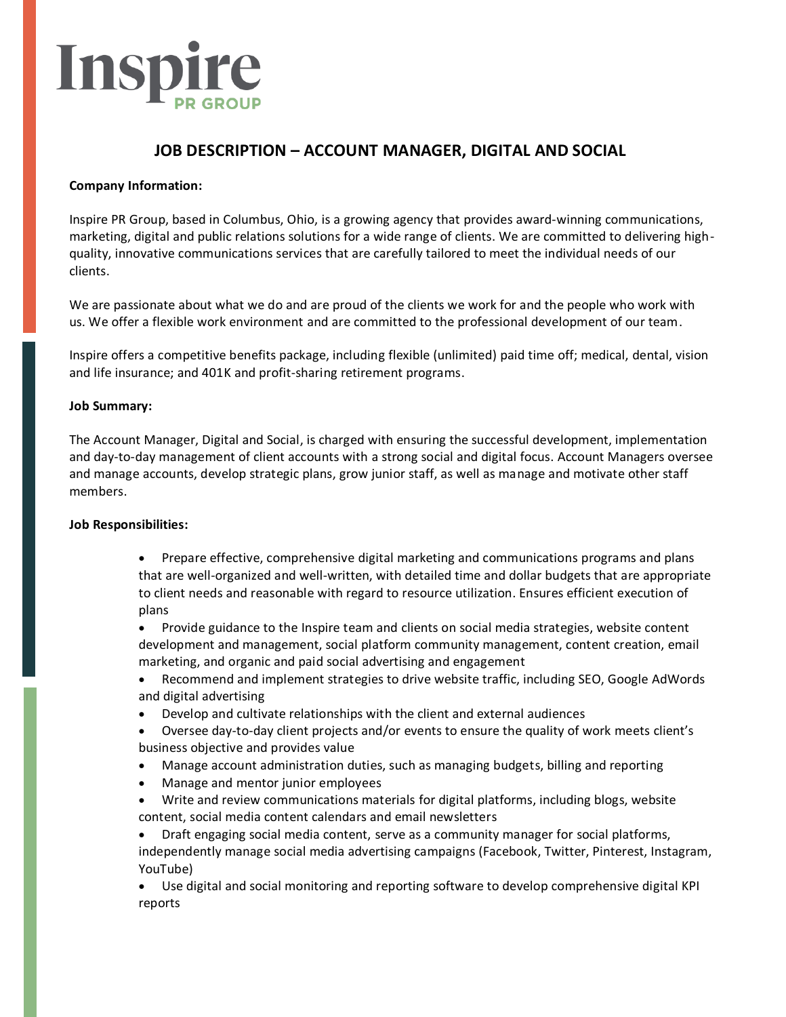# Insp

# **JOB DESCRIPTION – ACCOUNT MANAGER, DIGITAL AND SOCIAL**

## **Company Information:**

Inspire PR Group, based in Columbus, Ohio, is a growing agency that provides award-winning communications, marketing, digital and public relations solutions for a wide range of clients. We are committed to delivering highquality, innovative communications services that are carefully tailored to meet the individual needs of our clients.

We are passionate about what we do and are proud of the clients we work for and the people who work with us. We offer a flexible work environment and are committed to the professional development of our team.

Inspire offers a competitive benefits package, including flexible (unlimited) paid time off; medical, dental, vision and life insurance; and 401K and profit-sharing retirement programs.

### **Job Summary:**

The Account Manager, Digital and Social, is charged with ensuring the successful development, implementation and day-to-day management of client accounts with a strong social and digital focus. Account Managers oversee and manage accounts, develop strategic plans, grow junior staff, as well as manage and motivate other staff members.

### **Job Responsibilities:**

• Prepare effective, comprehensive digital marketing and communications programs and plans that are well-organized and well-written, with detailed time and dollar budgets that are appropriate to client needs and reasonable with regard to resource utilization. Ensures efficient execution of plans

• Provide guidance to the Inspire team and clients on social media strategies, website content development and management, social platform community management, content creation, email marketing, and organic and paid social advertising and engagement

- Recommend and implement strategies to drive website traffic, including SEO, Google AdWords and digital advertising
- Develop and cultivate relationships with the client and external audiences
- Oversee day-to-day client projects and/or events to ensure the quality of work meets client's business objective and provides value
- Manage account administration duties, such as managing budgets, billing and reporting
- Manage and mentor junior employees
- Write and review communications materials for digital platforms, including blogs, website content, social media content calendars and email newsletters

• Draft engaging social media content, serve as a community manager for social platforms, independently manage social media advertising campaigns (Facebook, Twitter, Pinterest, Instagram, YouTube)

• Use digital and social monitoring and reporting software to develop comprehensive digital KPI reports